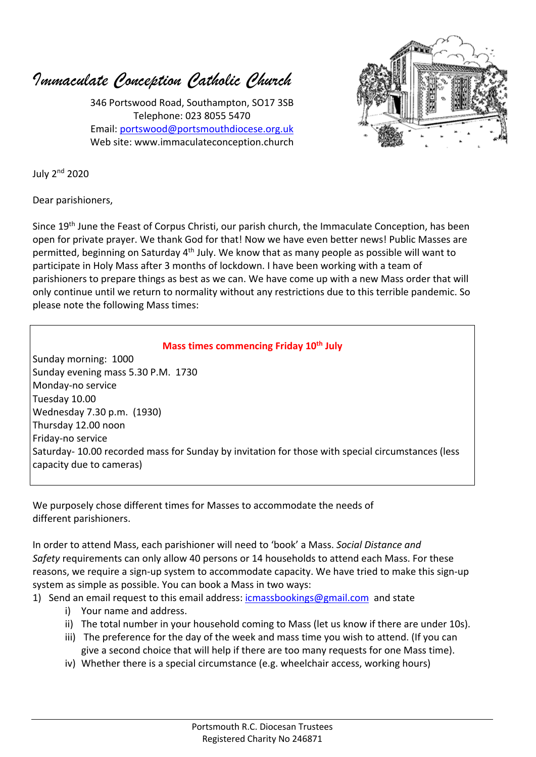*Immaculate Conception Catholic Church*

346 Portswood Road, Southampton, SO17 3SB Telephone: 023 8055 5470 Email: portswood@portsmouthdiocese.org.uk Web site: www.immaculateconception.church



July 2nd 2020

Dear parishioners,

Since 19th June the Feast of Corpus Christi, our parish church, the Immaculate Conception, has been open for private prayer. We thank God for that! Now we have even better news! Public Masses are permitted, beginning on Saturday 4<sup>th</sup> July. We know that as many people as possible will want to participate in Holy Mass after 3 months of lockdown. I have been working with a team of parishioners to prepare things as best as we can. We have come up with a new Mass order that will only continue until we return to normality without any restrictions due to this terrible pandemic. So please note the following Mass times:

## **Mass times commencing Friday 10th July**

Sunday morning: 1000 Sunday evening mass 5.30 P.M. 1730 Monday-no service Tuesday 10.00 Wednesday 7.30 p.m. (1930) Thursday 12.00 noon Friday-no service Saturday- 10.00 recorded mass for Sunday by invitation for those with special circumstances (less capacity due to cameras)

We purposely chose different times for Masses to accommodate the needs of different parishioners.

In order to attend Mass, each parishioner will need to 'book' a Mass. *Social Distance and Safety* requirements can only allow 40 persons or 14 households to attend each Mass. For these reasons, we require a sign-up system to accommodate capacity. We have tried to make this sign-up system as simple as possible. You can book a Mass in two ways:

- 1) Send an email request to this email address: icmassbookings@gmail.com and state
	- i) Your name and address.
	- ii) The total number in your household coming to Mass (let us know if there are under 10s).
	- iii) The preference for the day of the week and mass time you wish to attend. (If you can give a second choice that will help if there are too many requests for one Mass time).
	- iv) Whether there is a special circumstance (e.g. wheelchair access, working hours)